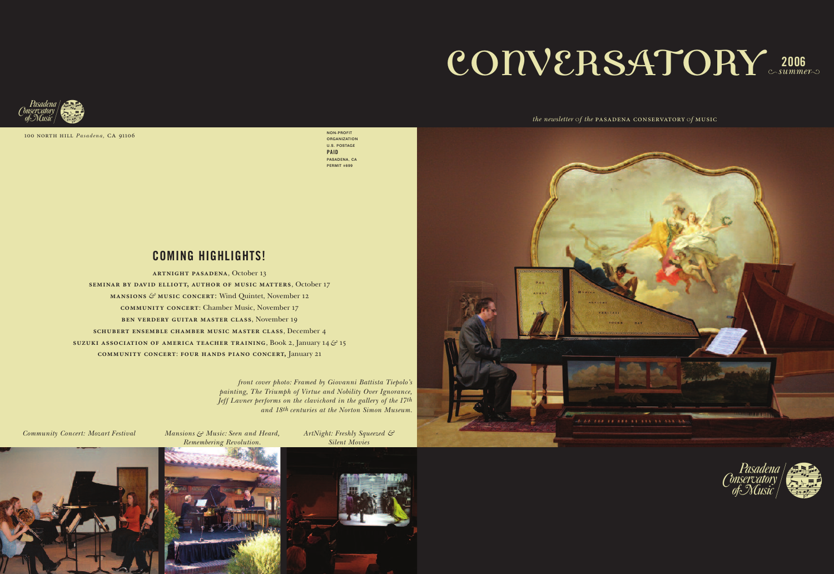# CONVERSATORY 2006

100 north hill *Pasadena,* ca 91106 **NON-PROFIT**

**ORGANIZATION U.S. POSTAGE PAID PASADENA, CA PERMIT #699**

### *the newsletter* o*f the* pasadena conservatory <sup>o</sup>*f* music





*front cover photo: Framed by Giovanni Battista Tiepolo's painting, The Triumph of Virtue and Nobility Over Ignorance, Jeff Lavner performs on the clavichord in the gallery of the 17th and 18th centuries at the Norton Simon Museum.*

**artnight pasadena**, October 13 **seminar by david elliott, author of music matters**, October 17 **mansions** *&* **music concert**: Wind Quintet, November 12 **community concert**: Chamber Music, November 17 **ben verdery guitar master class**, November 19 **schubert ensemble chamber music master class**, December 4 **suzuki association of america teacher training**, Book 2, January 14*&* 15 **community concert**: **four hands piano concert,** January 21

### **COMING HIGHLIGHTS!**

*Community Concert: Mozart Festival Mansions & Music: Seen and Heard,*

*Remembering Revolution.*

*ArtNight: Freshly Squeezed & Silent Movies*





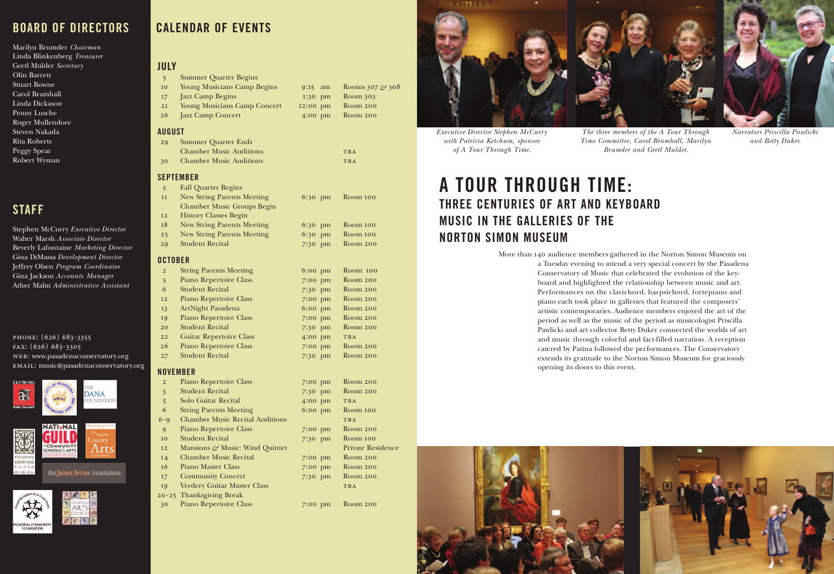# **A TOUR THROUGH TIME: THREE CENTURIES OF ART AND KEYBOARD MUSIC IN THE GALLERIES OF THE NORTON SIMON MUSEUM**

More than 140 audience members gathered in the Norton Simon Museum on a Tuesday evening to attend a very special concert by the Pasadena Conservatory of Music that celebrated the evolution of the keyboard and highlighted the relationship between music and art. Performances on the clavichord, harpsichord, fortepiano and piano each took place in galleries that featured the composers' artistic contemporaries. Audience members enjoyed the art of the period as well as the music of the period as musicologist Priscilla Pawlicki and art collector Betty Duker connected the worlds of art and music through colorful and fact-filled narration. A reception catered by Patina followed the performances. The Conservatory extends its gratitude to the Norton Simon Museum for graciously opening its doors to this event.



## **BOARD OF DIRECTORS**

Marilyn Brumder *Chairman* Linda Blinkenberg *Treasurer* Gretl Mulder *Secretary* Olin Barrett Stuart Bowne Carol Bramhall Linda Dickason Penny Lusche Roger Mullendore Steven Nakada Rita Roberts Peggy Spear Robert Wyman

# **STAFF**

Stephen McCurry *Executive Director* Walter Marsh *Associate Director* Beverly Lafontaine *Marketing Director* Gina DiMassa *Development Director* Jeffrey Olsen *Program Coordinator* Gina Jackson *Accounts Manager* Ather Malm *Administrative Assistant*

### phone: (626) 683-3355 fax: (626) 683-3305 web: www.pasadenaconservatory.org email: music@pasadenaconservatory.org





### **JULY**

|  | <b>Summer Quarter Begins</b> |  |  |
|--|------------------------------|--|--|
|--|------------------------------|--|--|

- 10 Young Musicians Camp Begins 9:15 am Rooms 307*&* 308 17 Jazz Camp Begins 1:30 pm Room 303
- 21 Young Musicians Camp Concert 12:00 pm Room 200
- 26 Jazz Camp Concert 4:00 pm Room 200

### **AUGUST**

| 29 | <b>Summer Quarter Ends</b>     |            |
|----|--------------------------------|------------|
|    | <b>Chamber Music Auditions</b> | <b>TBA</b> |
| 30 | <b>Chamber Music Auditions</b> | <b>TBA</b> |

### **SEPTEMBER**

| 5              | <b>Fall Quarter Begins</b>        |                   |          |  |
|----------------|-----------------------------------|-------------------|----------|--|
| 11             | <b>New String Parents Meeting</b> | 6:30 pm           | Room 100 |  |
|                | <b>Chamber Music Groups Begin</b> |                   |          |  |
| 12             | <b>History Classes Begin</b>      |                   |          |  |
| 18             | <b>New String Parents Meeting</b> | 6:30 pm           | Room 100 |  |
| 25             | <b>New String Parents Meeting</b> | 6:30 pm           | Room 100 |  |
| 29             | <b>Student Recital</b>            | 7:30 pm           | Room 200 |  |
| <b>OCTOBER</b> |                                   |                   |          |  |
| $\overline{2}$ | <b>String Parents Meeting</b>     | $6:00 \text{ pm}$ | Room 100 |  |
| 5              | <b>Piano Repertoire Class</b>     | 7:00 pm           | Room 200 |  |
| 6              | <b>Student Recital</b>            | 7:30 pm           | Room 200 |  |

| 12 <sup>2</sup> | Piano Repertoire Class         | 7:00 pm | <b>Room 200</b> |
|-----------------|--------------------------------|---------|-----------------|
| 13              | ArtNight Pasadena              | 6:00 pm | Room 200        |
| 19              | Piano Repertoire Class         | 7:00 pm | Room 200        |
| 20              | <b>Student Recital</b>         | 7:30 pm | Room 200        |
| 22              | <b>Guitar Repertoire Class</b> | 4:00 pm | <b>TBA</b>      |
| 26              | <b>Piano Repertoire Class</b>  | 7:00 pm | Room 200        |
| 27              | <b>Student Recital</b>         | 7:30 pm | <b>Room 200</b> |

### **NOVEMBER**

 $20 - 25$ 

| $\overline{2}$ | Piano Repertoire Class                 | $7:00$ pm | Room 200                 |
|----------------|----------------------------------------|-----------|--------------------------|
| $\overline{3}$ | <b>Student Recital</b>                 | 7:30 pm   | Room 200                 |
| 5              | Solo Guitar Recital                    | 4:00 pm   | <b>TBA</b>               |
| 6              | <b>String Parents Meeting</b>          | 6:00 pm   | Room 100                 |
| $6 - 9$        | <b>Chamber Music Recital Auditions</b> |           | <b>TBA</b>               |
| 9              | Piano Repertoire Class                 | 7:00 pm   | Room 200                 |
| 10             | <b>Student Recital</b>                 | 7:30 pm   | Room 100                 |
| 12             | Mansions & Music: Wind Quintet         |           | <b>Private Residence</b> |
| 14             | <b>Chamber Music Recital</b>           | $7:00$ pm | Room 200                 |
| 16             | Piano Master Class                     | 7:00 pm   | Room 200                 |
| 17             | <b>Community Concert</b>               | 7:30 pm   | Room 200                 |
| 19             | <b>Verdery Guitar Master Class</b>     |           | <b>TBA</b>               |
|                | 20-25 Thanksgiving Break               |           |                          |
| 30             | Piano Repertoire Class                 | $7:00$ pm | Room 200                 |



**CALENDAR OF EVENTS**

*Executive Director Stephen McCurry with Patricia Ketchum, sponsor of A Tour Through Time.*

*The three members of the A Tour Through Time Committee, Carol Bramhall, Marilyn Brumder and Gretl Mulder.*

*Narrators Priscilla Pawlicki and Betty Duker.*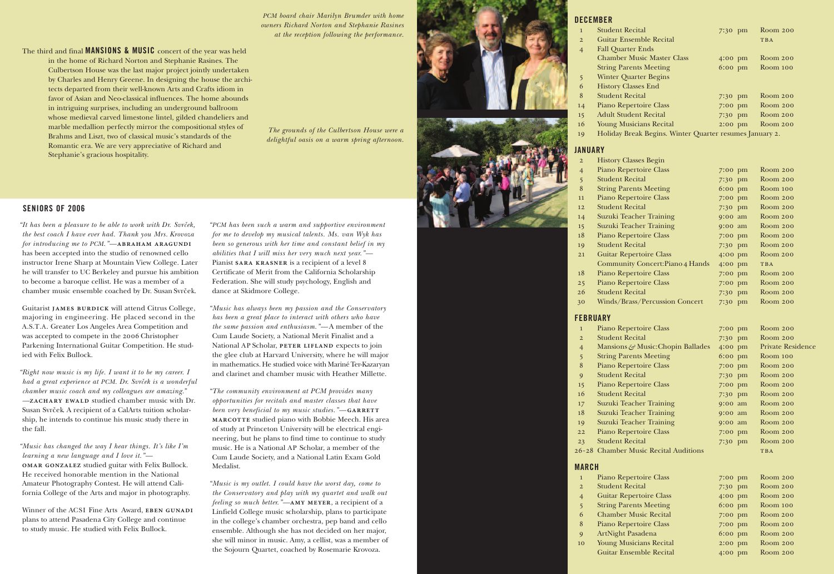### **DECEMBER**

- **Student Recital** 
	- 2 Guitar Ensemble
	- 4 Fall Quarter End Chamber Music String Parents Me
- 5 Winter Quarter I 6 History Classes E
- 8 Student Recital
- 14 Piano Repertoire
- 15 Adult Student Re
- 16 Young Musicians
- 19 Holiday Break Be

### **JANUARY**

- 2 History Classes B
- 4 Piano Repertoire
- 5:<br>3:50 Student Recital<br>8:30 String Parents M
- 11 Piano Repertoire
- 12 Student Recital
- 14 Suzuki Teacher
- 15 Suzuki Teacher 7
- 18 Piano Repertoire
- 19 Student Recital 21 Guitar Repertoire
- Community Con-
- 18 Piano Repertoire 25 Piano Repertoire
- 26 Student Recital
- 30 Winds/Brass/Per

| $\mathbf{1}$            | <b>Student Recital</b>                                  | 7:30 pm | Room 200         |
|-------------------------|---------------------------------------------------------|---------|------------------|
| $\overline{\mathbf{c}}$ | <b>Guitar Ensemble Recital</b>                          |         | <b>TBA</b>       |
| 4                       | <b>Fall Quarter Ends</b>                                |         |                  |
|                         | <b>Chamber Music Master Class</b>                       | 4:00 pm | Room 200         |
|                         | <b>String Parents Meeting</b>                           | 6:00 pm | Room 100         |
| 5                       | <b>Winter Quarter Begins</b>                            |         |                  |
| 6                       | <b>History Classes End</b>                              |         |                  |
| 8                       | <b>Student Recital</b>                                  | 7:30 pm | Room 200         |
|                         | Piano Repertoire Class                                  | 7:00 pm | Room 200         |
| $-4$                    | <b>Adult Student Recital</b>                            | 7:30 pm | Room 200         |
| 15                      | <b>Young Musicians Recital</b>                          |         | <b>Room 200</b>  |
| 6 <sup>6</sup>          |                                                         | 2:00 pm |                  |
| 9                       | Holiday Break Begins. Winter Quarter resumes January 2. |         |                  |
| <b>INUARY</b>           |                                                         |         |                  |
| $\overline{2}$          | <b>History Classes Begin</b>                            |         |                  |
| 4                       | Piano Repertoire Class                                  | 7:00 pm | <b>Room 200</b>  |
|                         | <b>Student Recital</b>                                  | 7:30 pm | Room 200         |
| 5<br>8                  | <b>String Parents Meeting</b>                           | 6:00 pm | Room 100         |
|                         |                                                         |         | Room 200         |
| $\overline{1}$          | Piano Repertoire Class                                  | 7:00 pm |                  |
| $\overline{2}$          | <b>Student Recital</b>                                  | 7:30 pm | Room 200         |
| $-4$                    | <b>Suzuki Teacher Training</b>                          | 9:00 am | <b>Room 200</b>  |
| 15                      | Suzuki Teacher Training                                 | 9:00 am | Room 200         |
| $\overline{8}$          | Piano Repertoire Class                                  | 7:00 pm | Room 200         |
| .9                      | <b>Student Recital</b>                                  | 7:30 pm | Room 200         |
| 21                      | <b>Guitar Repertoire Class</b>                          | 4:00 pm | Room 200         |
|                         | <b>Community Concert: Piano 4 Hands</b>                 | 4:00 pm | <b>TBA</b>       |
| 18                      | Piano Repertoire Class                                  | 7:00 pm | Room 200         |
| 25                      | Piano Repertoire Class                                  | 7:00 pm | Room 200         |
| 26                      | <b>Student Recital</b>                                  | 7:30 pm | <b>Room 200</b>  |
| $\overline{0}$          | Winds/Brass/Percussion Concert                          | 7:30 pm | Room 200         |
|                         | EBRUARY                                                 |         |                  |
|                         |                                                         |         |                  |
| $\mathbf 1$             | Piano Repertoire Class                                  | 7:00 pm | Room 200         |
| $\overline{c}$          | <b>Student Recital</b>                                  | 7:30 pm | Room 200         |
| $\overline{4}$          | Mansions & Music: Chopin Ballades                       | 4:00 pm | Private Residend |
| 5                       | <b>String Parents Meeting</b>                           | 6:00 pm | Room 100         |
| 8                       | <b>Piano Repertoire Class</b>                           | 7:00 pm | Room 200         |
| 9                       | <b>Student Recital</b>                                  | 7:30 pm | Room 200         |
| 15                      | Piano Repertoire Class                                  | 7:00 pm | Room 200         |
| 6                       | <b>Student Recital</b>                                  | 7:30 pm | Room 200         |
| 17                      | <b>Suzuki Teacher Training</b>                          | 9:00 am | Room 200         |
| $\overline{8}$          | <b>Suzuki Teacher Training</b>                          | 9:00 am | Room 200         |
| 9                       | Suzuki Teacher Training                                 | 9:00 am | Room 200         |
| 22                      | Piano Repertoire Class                                  | 7:00 pm | Room 200         |
| 23                      | <b>Student Recital</b>                                  | 7:30 pm | Room 200         |
|                         | 5-28 Chamber Music Recital Auditions                    |         | <b>TBA</b>       |
|                         |                                                         |         |                  |
| <b>ARCH</b>             |                                                         |         |                  |
| $\mathbf 1$             | Piano Repertoire Class                                  | 7:00 pm | Room 200         |
| $\mathbf{c}$            | <b>Student Recital</b>                                  | 7:30 pm | Room 200         |
| 4                       | <b>Guitar Repertoire Class</b>                          | 4:00 pm | Room 200         |
| 5                       | <b>String Parents Meeting</b>                           | 6:00 pm | Room 100         |
| 6                       | <b>Chamber Music Recital</b>                            | 7:00 pm | Room 200         |
| 8                       | Piano Repertoire Class                                  | 7:00 pm | Room 200         |
| 9                       | ArtNight Pasadena                                       | 6:00 pm | Room 200         |
| $\overline{\mathbf{0}}$ | <b>Young Musicians Recital</b>                          | 2:00 pm | Room 200         |
|                         | <b>Guitar Ensemble Recital</b>                          | 4:00 pm | Room 200         |
|                         |                                                         |         |                  |

### **FEBRUAR Y**

- 
- 4 Mansions & Mus
- 5 String Parents Me
- 8 Piano Repertoire
- 9 Student Recital
- 15 Piano Repertoire
- 16 Student Recital
- 17 Suzuki Teacher
- 18 Suzuki Teacher 7
- 19 Suzuki Teacher
- 22 Piano Repertoire
- 23 Student Recital
- 26-28 Chamber Music

Guitarist JAMES BURDICK will attend Citrus College, majoring in engineering. He placed second in the A.S.T.A. Greater Los Angeles Area Competition and was accepted to compete in the 2006 Christopher Parkening International Guitar Competition. He studied with Felix Bullock.

### **MARCH**

- Piano Repertoire
- 2 Student Recital
- 4 Guitar Repertoire
- 5 String Parents Me
- 6 Chamber Music
- 8 Piano Repertoire 9 ArtNight Pasaden
- 

*"Right now music is my life. I want it to be my career. I had a great experience at PCM. Dr. Svrček is a wonderful chamber music coach and my colleagues are amazing." —***zachary ewald** studied chamber music with Dr. Susan Svrček. A recipient of a CalArts tuition scholarship, he intends to continue his music study there in the fall.

*"Music has changed the way I hear things. It's like I'm learning a new language and I love it."* **omar gonzalez** studied guitar with Felix Bullock. He received honorable mention in the National Amateur Photography Contest. He will attend California College of the Arts and major in photography.

Winner of the ACSI Fine Arts Award, **eben gunadi** plans to attend Pasadena City College and continue to study music. He studied with Felix Bullock.

*"PCM has been such a warm and supportive environment for me to develop my musical talents. Ms. van Wyk has been so generous with her time and constant belief in my abilities that I will miss her very much next year."—* Pianist **sara krasner** is a recipient of a level 8 Certificate of Merit from the California Scholarship Federation. She will study psychology, English and dance at Skidmore College.

*"Music has always been my passion and the Conservatory has been a great place to interact with others who have the same passion and enthusiasm." —* A member of the Cum Laude Society, a National Merit Finalist and a National AP Scholar, **peter lifland** expects to join the glee club at Harvard University, where he will major in mathematics. He studied voice with Mariné Ter-Kazaryan and clarinet and chamber music with Heather Millette.

*"The community environment at PCM provides many opportunities for recitals and master classes that have been very beneficial to my music studies.*" **GARRETT marcotte** studied piano with Bobbie Meech. His area of study at Princeton University will be electrical engineering, but he plans to find time to continue to study music. He is a National AP Scholar, a member of the Cum Laude Society, and a National Latin Exam Gold Medalist.

*"Music is my outlet. I could have the worst day, come to the Conservatory and play with my quartet and walk out feeling so much better."—***amy meyer** , a recipient of a Linfield College music scholarship, plans to participate in the college's chamber orchestra, pep band and cello ensemble. Although she has not decided on her major, she will minor in music. Amy, a cellist, was a member of the Sojourn Quartet, coached by Rosemarie Krovoza.



*"It has been a pleasure to be able to work with Dr. Svrček, the best coach I have ever had. Thank you Mrs. Krovoza for introducing me to PCM.* "—**ABRAHAM ARAGUNDI** has been accepted into the studio of renowned cello instructor Irene Sharp at Mountain View College. Later he will transfer to UC Berkeley and pursue his ambition to become a baroque cellist. He was a member of a chamber music ensemble coached by Dr. Susan Svrček.

The third and final **MANSIONS & MUSIC** concert of the year was held in the home of Richard Norton and Stephanie Rasines. The Culbertson House was the last major project jointly undertaken by Charles and Henry Greene. In designing the house the architects departed from their well-known Arts and Crafts idiom in favor of Asian and Neo-classical influences. The home abounds in intriguing surprises, including an underground ballroom whose medieval carved limestone lintel, gilded chandeliers and marble medallion perfectly mirror the compositional styles of Brahms and Liszt, two of classical music's standards of the Romantic era. We are very appreciative of Richard and Stephanie's gracious hospitality.

*PCM board chair Marilyn Brumder with home owners Richard Norton and Stephanie Rasines at the reception following the performance.*

*The grounds of the Culbertson House were a delightful oasis on a warm spring afternoon.*